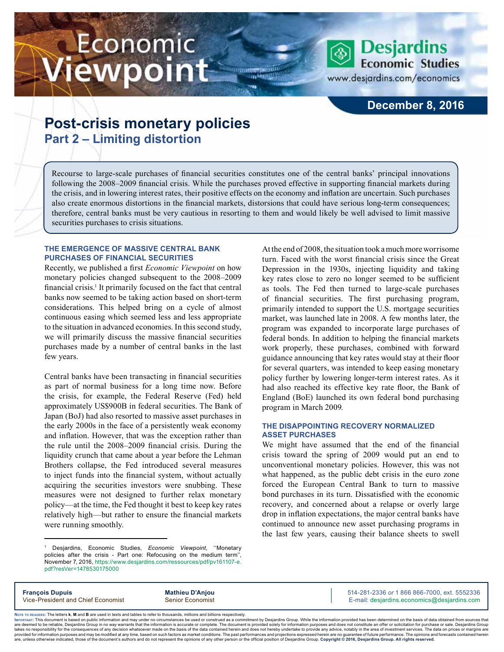# Economic iewpoint



www.desjardins.com/economics

## **December 8, 2016**

# **Post-crisis monetary policies Part 2 – Limiting distortion**

Recourse to large-scale purchases of financial securities constitutes one of the central banks' principal innovations following the 2008–2009 financial crisis. While the purchases proved effective in supporting financial markets during the crisis, and in lowering interest rates, their positive effects on the economy and inflation are uncertain. Such purchases also create enormous distortions in the financial markets, distorsions that could have serious long-term consequences; therefore, central banks must be very cautious in resorting to them and would likely be well advised to limit massive securities purchases to crisis situations.

m

#### **THE EMERGENCE OF MASSIVE CENTRAL BANK PURCHASES OF FINANCIAL SECURITIES**

Recently, we published a first *Economic Viewpoint* on how monetary policies changed subsequent to the 2008–2009 financial crisis.<sup>1</sup> It primarily focused on the fact that central banks now seemed to be taking action based on short-term considerations. This helped bring on a cycle of almost continuous easing which seemed less and less appropriate to the situation in advanced economies. In this second study, we will primarily discuss the massive financial securities purchases made by a number of central banks in the last few years.

Central banks have been transacting in financial securities as part of normal business for a long time now. Before the crisis, for example, the Federal Reserve (Fed) held approximately US\$900B in federal securities. The Bank of Japan (BoJ) had also resorted to massive asset purchases in the early 2000s in the face of a persistently weak economy and inflation. However, that was the exception rather than the rule until the 2008–2009 financial crisis. During the liquidity crunch that came about a year before the Lehman Brothers collapse, the Fed introduced several measures to inject funds into the financial system, without actually acquiring the securities investors were snubbing. These measures were not designed to further relax monetary policy—at the time, the Fed thought it best to keep key rates relatively high—but rather to ensure the financial markets were running smoothly.

At the end of 2008, the situation took a much more worrisome turn. Faced with the worst financial crisis since the Great Depression in the 1930s, injecting liquidity and taking key rates close to zero no longer seemed to be sufficient as tools. The Fed then turned to large-scale purchases of financial securities. The first purchasing program, primarily intended to support the U.S. mortgage securities market, was launched late in 2008. A few months later, the program was expanded to incorporate large purchases of federal bonds. In addition to helping the financial markets work properly, these purchases, combined with forward guidance announcing that key rates would stay at their floor for several quarters, was intended to keep easing monetary policy further by lowering longer-term interest rates. As it had also reached its effective key rate floor, the Bank of England (BoE) launched its own federal bond purchasing program in March 2009.

#### **THE DISAPPOINTING RECOVERY NORMALIZED ASSET PURCHASES**

We might have assumed that the end of the financial crisis toward the spring of 2009 would put an end to unconventional monetary policies. However, this was not what happened, as the public debt crisis in the euro zone forced the European Central Bank to turn to massive bond purchases in its turn. Dissatisfied with the economic recovery, and concerned about a relapse or overly large drop in inflation expectations, the major central banks have continued to announce new asset purchasing programs in the last few years, causing their balance sheets to swell

**François Dupuis Mathieu D'Anjou** 514-281-2336 *or* 1 866 866-7000, ext. 5552336 Vice-President and Chief Economist Senior Economist Senior Economist E-mail: desjardins.economics@desjardins.com

Noте то келоекs: The letters **k, M** and **B** are used in texts and tables to refer to thousands, millions and billions respectively.<br>Імроктлит: This document is based on public information and may under no circumstances be are deemed to be reliable. Desiardins Group in no way warrants that the information is accurate or complete. The document is provided solely for information purposes and does not constitute an offer or solicitation for pur takes no responsibility for the consequences of any decision whatsoever made on the basis of the data contained herein and does not hereby undertake to provide any advice, notably in the area of investment services. The da .<br>are, unless otherwise indicated, those of the document's authors and do not represent the opinions of any other person or the official position of Desjardins Group. Copyright @ 2016, Desjardins Group. All rights reserved

<sup>1</sup> Desjardins, Economic Studies, *Economic Viewpoint*, ''Monetary policies after the crisis - Part one: Refocusing on the medium term'', November 7, 2016, [https://www.desjardins.com/ressources/pdf/pv161107-e.](https://www.desjardins.com/ressources/pdf/pv161107-e.pdf?resVer=1478530175000) [pdf?resVer=1478530175000](https://www.desjardins.com/ressources/pdf/pv161107-e.pdf?resVer=1478530175000)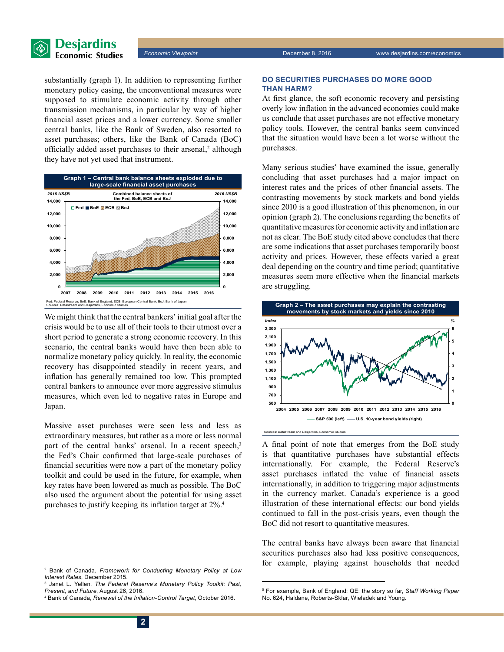

substantially (graph 1). In addition to representing further monetary policy easing, the unconventional measures were supposed to stimulate economic activity through other transmission mechanisms, in particular by way of higher financial asset prices and a lower currency. Some smaller central banks, like the Bank of Sweden, also resorted to asset purchases; others, like the Bank of Canada (BoC) officially added asset purchases to their arsenal,<sup>2</sup> although they have not yet used that instrument.



We might think that the central bankers' initial goal after the crisis would be to use all of their tools to their utmost over a short period to generate a strong economic recovery. In this scenario, the central banks would have then been able to normalize monetary policy quickly. In reality, the economic recovery has disappointed steadily in recent years, and inflation has generally remained too low. This prompted central bankers to announce ever more aggressive stimulus measures, which even led to negative rates in Europe and Japan.

Massive asset purchases were seen less and less as extraordinary measures, but rather as a more or less normal part of the central banks' arsenal. In a recent speech,<sup>3</sup> the Fed's Chair confirmed that large-scale purchases of financial securities were now a part of the monetary policy toolkit and could be used in the future, for example, when key rates have been lowered as much as possible. The BoC also used the argument about the potential for using asset purchases to justify keeping its inflation target at 2%.<sup>4</sup>

#### **DO SECURITIES PURCHASES DO MORE GOOD THAN HARM?**

At first glance, the soft economic recovery and persisting overly low inflation in the advanced economies could make us conclude that asset purchases are not effective monetary policy tools. However, the central banks seem convinced that the situation would have been a lot worse without the purchases.

Many serious studies<sup>5</sup> have examined the issue, generally concluding that asset purchases had a major impact on interest rates and the prices of other financial assets. The contrasting movements by stock markets and bond yields since 2010 is a good illustration of this phenomenon, in our opinion (graph 2). The conclusions regarding the benefits of quantitative measures for economic activity and inflation are not as clear. The BoE study cited above concludes that there are some indications that asset purchases temporarily boost activity and prices. However, these effects varied a great deal depending on the country and time period; quantitative measures seem more effective when the financial markets are struggling.



A final point of note that emerges from the BoE study is that quantitative purchases have substantial effects internationally. For example, the Federal Reserve's asset purchases inflated the value of financial assets internationally, in addition to triggering major adjustments in the currency market. Canada's experience is a good illustration of these international effects: our bond yields continued to fall in the post-crisis years, even though the BoC did not resort to quantitative measures.

The central banks have always been aware that financial securities purchases also had less positive consequences, for example, playing against households that needed

<sup>2</sup> Bank of Canada, *Framework for Conducting Monetary Policy at Low Interest Rates*, December 2015.

<sup>3</sup> Janet L. Yellen, *The Federal Reserve's Monetary Policy Toolkit: Past, Present, and Future*, August 26, 2016.

<sup>4</sup> Bank of Canada, *Renewal of the Inflation-Control Target*, October 2016.

<sup>5</sup> For example, Bank of England: QE: the story so far, *Staff Working Paper*  No. 624, Haldane, Roberts-Sklar, Wieladek and Young.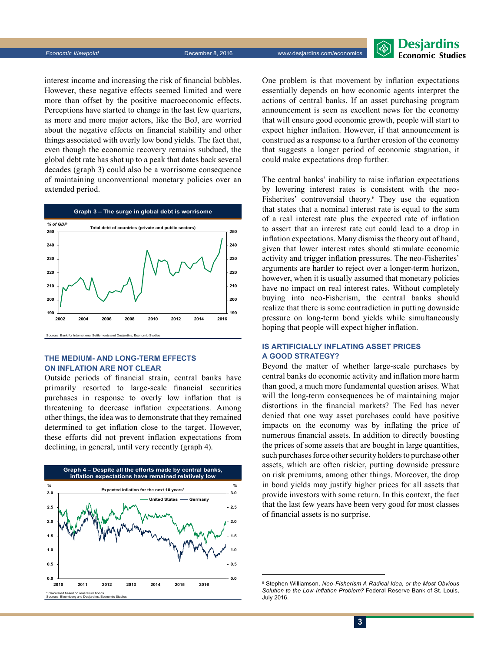**Desjardins Economic Studies** 

interest income and increasing the risk of financial bubbles. However, these negative effects seemed limited and were more than offset by the positive macroeconomic effects. Perceptions have started to change in the last few quarters, as more and more major actors, like the BoJ, are worried about the negative effects on financial stability and other things associated with overly low bond yields. The fact that, even though the economic recovery remains subdued, the global debt rate has shot up to a peak that dates back several decades (graph 3) could also be a worrisome consequence of maintaining unconventional monetary policies over an extended period.



#### **THE MEDIUM- AND LONG-TERM EFFECTS ON INFLATION ARE NOT CLEAR**

Outside periods of financial strain, central banks have primarily resorted to large-scale financial securities purchases in response to overly low inflation that is threatening to decrease inflation expectations. Among other things, the idea was to demonstrate that they remained determined to get inflation close to the target. However, these efforts did not prevent inflation expectations from declining, in general, until very recently (graph 4).



One problem is that movement by inflation expectations essentially depends on how economic agents interpret the actions of central banks. If an asset purchasing program announcement is seen as excellent news for the economy that will ensure good economic growth, people will start to expect higher inflation. However, if that announcement is construed as a response to a further erosion of the economy that suggests a longer period of economic stagnation, it could make expectations drop further.

The central banks' inability to raise inflation expectations by lowering interest rates is consistent with the neo-Fisherites' controversial theory.<sup>6</sup> They use the equation that states that a nominal interest rate is equal to the sum of a real interest rate plus the expected rate of inflation to assert that an interest rate cut could lead to a drop in inflation expectations. Many dismiss the theory out of hand, given that lower interest rates should stimulate economic activity and trigger inflation pressures. The neo-Fisherites' arguments are harder to reject over a longer-term horizon, however, when it is usually assumed that monetary policies have no impact on real interest rates. Without completely buying into neo-Fisherism, the central banks should realize that there is some contradiction in putting downside pressure on long-term bond yields while simultaneously hoping that people will expect higher inflation.

#### **IS ARTIFICIALLY INFLATING ASSET PRICES A GOOD STRATEGY?**

Beyond the matter of whether large-scale purchases by central banks do economic activity and inflation more harm than good, a much more fundamental question arises. What will the long-term consequences be of maintaining major distortions in the financial markets? The Fed has never denied that one way asset purchases could have positive impacts on the economy was by inflating the price of numerous financial assets. In addition to directly boosting the prices of some assets that are bought in large quantities, such purchases force other security holders to purchase other assets, which are often riskier, putting downside pressure on risk premiums, among other things. Moreover, the drop in bond yields may justify higher prices for all assets that provide investors with some return. In this context, the fact that the last few years have been very good for most classes of financial assets is no surprise.

<sup>6</sup> Stephen Williamson, *Neo-Fisherism A Radical Idea, or the Most Obvious Solution to the Low-Inflation Problem?* Federal Reserve Bank of St. Louis, July 2016.